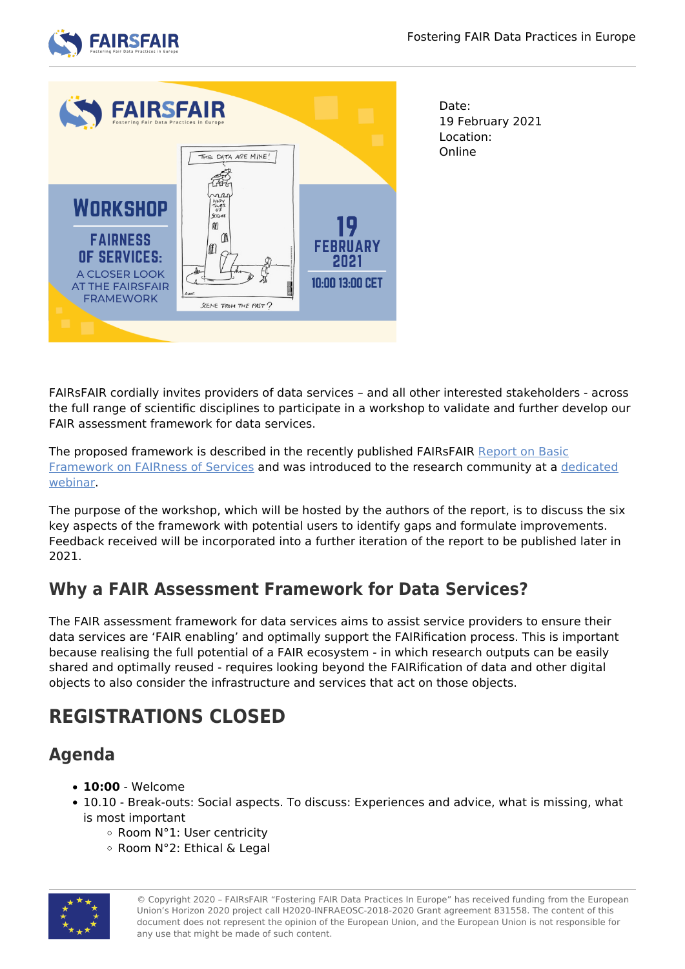



Date: 19 February 2021 Location: Online

FAIRsFAIR cordially invites providers of data services – and all other interested stakeholders - across the full range of scientific disciplines to participate in a workshop to validate and further develop our FAIR assessment framework for data services.

The proposed framework is described in the recently published FAIRsFAIR [Report on Basic](https://zenodo.org/record/4292599#.YA_53uB7lTY) [Framework on FAIRness of Services](https://zenodo.org/record/4292599#.YA_53uB7lTY) and was introduced to the research community at a [dedicated](https://www.fairsfair.eu/events/fair-services-infrastructure-proposing-assessment-framework-fair-enabling-data-services) [webinar.](https://www.fairsfair.eu/events/fair-services-infrastructure-proposing-assessment-framework-fair-enabling-data-services)

The purpose of the workshop, which will be hosted by the authors of the report, is to discuss the six key aspects of the framework with potential users to identify gaps and formulate improvements. Feedback received will be incorporated into a further iteration of the report to be published later in 2021.

## **Why a FAIR Assessment Framework for Data Services?**

The FAIR assessment framework for data services aims to assist service providers to ensure their data services are 'FAIR enabling' and optimally support the FAIRification process. This is important because realising the full potential of a FAIR ecosystem - in which research outputs can be easily shared and optimally reused - requires looking beyond the FAIRification of data and other digital objects to also consider the infrastructure and services that act on those objects.

# **REGISTRATIONS CLOSED**

#### **Agenda**

- **10:00** Welcome
- 10.10 Break-outs: Social aspects. To discuss: Experiences and advice, what is missing, what is most important
	- Room N°1: User centricity
	- Room N°2: Ethical & Legal